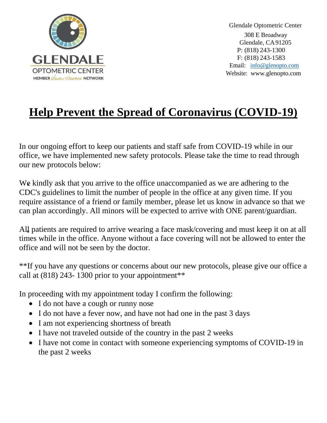

 Glendale Optometric Center 308 E Broadway Glendale, CA91205 P: (818) 243-1300 F: (818) 243-1583 Email: in[fo@glenopto.com](mailto:info@glenopto.com) Website: www.glenopto.com

# **Help Prevent the Spread of Coronavirus (COVID-19)**

In our ongoing effort to keep our patients and staff safe from COVID-19 while in our office, we have implemented new safety protocols. Please take the time to read through our new protocols below:

We kindly ask that you arrive to the office unaccompanied as we are adhering to the CDC's guidelines to limit the number of people in the office at any given time. If you require assistance of a friend or family member, please let us know in advance so that we can plan accordingly. All minors will be expected to arrive with ONE parent/guardian.

All patients are required to arrive wearing a face mask/covering and must keep it on at all times while in the office. Anyone without a face covering will not be allowed to enter the office and will not be seen by the doctor.

\*\*If you have any questions or concerns about our new protocols, please give our office a call at  $(818)$  243-1300 prior to your appointment<sup>\*\*</sup>

In proceeding with my appointment today I confirm the following:

- I do not have a cough or runny nose
- I do not have a fever now, and have not had one in the past 3 days
- I am not experiencing shortness of breath
- I have not traveled outside of the country in the past 2 weeks
- I have not come in contact with someone experiencing symptoms of COVID-19 in the past 2 weeks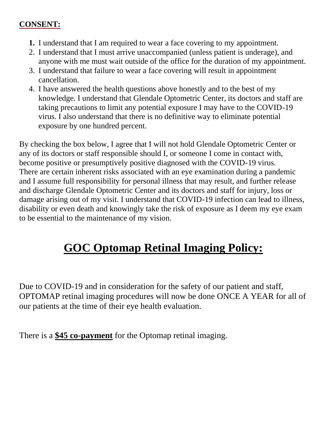### **CONSENT:**

- **1.** I understand that I am required to wear a face covering to my appointment.
- 2. I understand that I must arrive unaccompanied (unless patient is underage), and anyone with me must wait outside of the office for the duration of my appointment.
- 3. I understand that failure to wear a face covering will result in appointment cancellation.
- 4. I have answered the health questions above honestly and to the best of my knowledge. I understand that Glendale Optometric Center, its doctors and staff are taking precautions to limit any potential exposure I may have to the COVID-19 virus. I also understand that there is no definitive way to eliminate potential exposure by one hundred percent.

By checking the box below, I agree that I will not hold Glendale Optometric Center or any of its doctors or staff responsible should I, or someone I come in contact with, become positive or presumptively positive diagnosed with the COVID-19 virus. There are certain inherent risks associated with an eye examination during a pandemic and I assume full responsibility for personal illness that may result, and further release and discharge Glendale Optometric Center and its doctors and staff for injury, loss or damage arising out of my visit. I understand that COVID-19 infection can lead to illness, disability or even death and knowingly take the risk of exposure as I deem my eye exam to be essential to the maintenance of my vision.

# **GOC Optomap Retinal Imaging Policy:**

Due to COVID-19 and in consideration for the safety of our patient and staff, OPTOMAP retinal imaging procedures will now be done ONCE A YEAR for all of our patients at the time of their eye health evaluation.

There is a **\$45 co-payment** for the Optomap retinal imaging.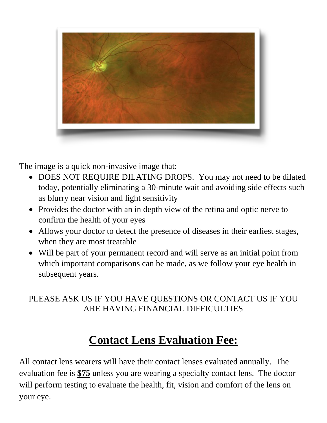

The image is a quick non-invasive image that:

- DOES NOT REQUIRE DILATING DROPS. You may not need to be dilated today, potentially eliminating a 30-minute wait and avoiding side effects such as blurry near vision and light sensitivity
- Provides the doctor with an in depth view of the retina and optic nerve to confirm the health of your eyes
- Allows your doctor to detect the presence of diseases in their earliest stages, when they are most treatable
- Will be part of your permanent record and will serve as an initial point from which important comparisons can be made, as we follow your eye health in subsequent years.

### PLEASE ASK US IF YOU HAVE QUESTIONS OR CONTACT US IF YOU ARE HAVING FINANCIAL DIFFICULTIES

## **Contact Lens Evaluation Fee:**

All contact lens wearers will have their contact lenses evaluated annually. The evaluation fee is **\$75** unless you are wearing a specialty contact lens. The doctor will perform testing to evaluate the health, fit, vision and comfort of the lens on your eye.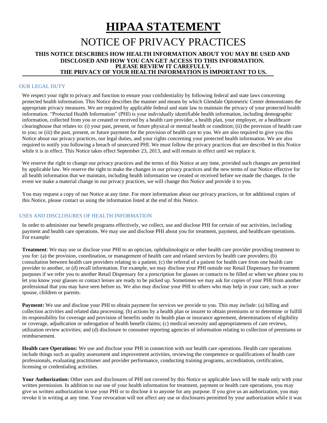## **HIPAA STATEMENT**

### NOTICE OF PRIVACY PRACTICES

### **THIS NOTICE DESCRIBES HOW HEALTH INFORMATION ABOUT YOU MAY BE USED AND DISCLOSED AND HOW YOU CAN GET ACCESS TO THIS INFORMATION. PLEASE REVIEW IT CAREFULLY. THE PRIVACY OF YOUR HEALTH INFORMATION IS IMPORTANT TO US.**

#### OUR LEGAL DUTY

We respect your right to privacy and function to ensure your confidentiality by following federal and state laws concerning protected health information. This Notice describes the manner and means by which Glendale Optometric Center demonstrates the appropriate privacy measures. We are required by applicable federal and state law to maintain the privacy of your protected health information. "Protected Health Information" (PHI) is your individually identifiable health information, including demographic information, collected from you or created or received by a health care provider, a health plan, your employer, or a healthcare clearinghouse that relates to: (i) your past, present, or future physical or mental health or condition; (ii) the provision of health care to you; or (iii) the past, present, or future payment for the provision of health care to you. We are also required to give you this Notice about our privacy practices, our legal duties, and your rights concerning your protected health information. We are also required to notify you following a breach of unsecured PHI. We must follow the privacy practices that are described in this Notice while it is in effect. This Notice takes effect September 23, 2013, and will remain in effect until we replace it.

We reserve the right to change our privacy practices and the terms of this Notice at any time, provided such changes are permitted by applicable law. We reserve the right to make the changes in our privacy practices and the new terms of our Notice effective for all health information that we maintain, including health information we created or received before we made the changes. In the event we make a material change in our privacy practices, we will change this Notice and provide it to you.

You may request a copy of our Notice at any time. For more information about our privacy practices, or for additional copies of this Notice, please contact us using the information listed at the end of this Notice.

### USES AND DISCLOSURES OF HEALTH INFORMATION

In order to administer our benefit programs effectively, we collect, use and disclose PHI for certain of our activities, including payment and health care operations. We may use and disclose PHI about you for treatment, payment, and healthcare operations. For example:

**Treatment**: We may use or disclose your PHI to an optician, ophthalmologist or other health care provider providing treatment to you for: (a) the provision, coordination, or management of health care and related services by health care providers; (b) consultation between health care providers relating to a patient; (c) the referral of a patient for health care from one health care provider to another, or (d) recall information. For example, we may disclose your PHI outside our Retail Dispensary for treatment purposes if we refer you to another Retail Dispensary for a prescription for glasses or contacts to be filled or when we phone you to let you know your glasses or contact lenses are ready to be picked up. Sometimes we may ask for copies of your PHI from another professional that you may have seen before us. We also may disclose your PHI to others who may help in your care, such as your spouse, children or parents.

**Payment:** We use and disclose your PHI to obtain payment for services we provide to you. This may include: (a) billing and collection activities and related data processing; (b) actions by a health plan or insurer to obtain premiums or to determine or fulfill its responsibility for coverage and provision of benefits under its health plan or insurance agreement, determinations of eligibility or coverage, adjudication or subrogation of health benefit claims; (c) medical necessity and appropriateness of care reviews, utilization review activities; and (d) disclosure to consumer reporting agencies of information relating to collection of premiums or reimbursement.

**Health care Operations:** We use and disclose your PHI in connection with our health care operations. Health care operations include things such as quality assessment and improvement activities, reviewing the competence or qualifications of health care professionals, evaluating practitioner and provider performance, conducting training programs, accreditation, certification, licensing or credentialing activities.

Your Authorization: Other uses and disclosures of PHI not covered by this Notice or applicable laws will be made only with your written permission. In addition to our use of your health information for treatment, payment or health care operations, you may give us written authorization to use your PHI or to disclose it to anyone for any purpose. If you give us an authorization, you may revoke it in writing at any time. Your revocation will not affect any use or disclosures permitted by your authorization while it was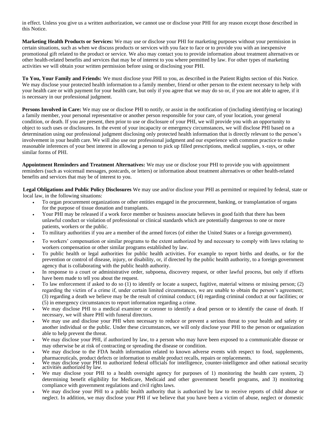in effect. Unless you give us a written authorization, we cannot use or disclose your PHI for any reason except those described in this Notice.

**Marketing Health Products or Services:** We may use or disclose your PHI for marketing purposes without your permission in certain situations, such as when we discuss products or services with you face to face or to provide you with an inexpensive promotional gift related to the product or service. We also may contact you to provide information about treatment alternatives or other health-related benefits and services that may be of interest to you where permitted by law. For other types of marketing activities we will obtain your written permission before using or disclosing your PHI.

**To You, Your Family and Friends:** We must disclose your PHI to you, as described in the Patient Rights section of this Notice. We may disclose your protected health information to a family member, friend or other person to the extent necessary to help with your health care or with payment for your health care, but only if you agree that we may do so or, if you are not able to agree, if it is necessary in our professional judgment.

**Persons Involved in Care:** We may use or disclose PHI to notify, or assist in the notification of (including identifying or locating) a family member, your personal representative or another person responsible for your care, of your location, your general condition, or death. If you are present, then prior to use or disclosure of your PHI, we will provide you with an opportunity to object to such uses or disclosures. In the event of your incapacity or emergency circumstances, we will disclose PHI based on a determination using our professional judgment disclosing only protected health information that is directly relevant to the person's involvement in your health care. We will also use our professional judgment and our experience with common practice to make reasonable inferences of your best interest in allowing a person to pick up filled prescriptions, medical supplies, x-rays, or other similar forms of PHI.

**Appointment Reminders and Treatment Alternatives:** We may use or disclose your PHI to provide you with appointment reminders (such as voicemail messages, postcards, or letters) or information about treatment alternatives or other health-related benefits and services that may be of interest to you.

**Legal Obligations and Public Policy Disclosures** We may use and/or disclose your PHI as permitted or required by federal, state or local law, in the following situations:

- To organ procurement organizations or other entities engaged in the procurement, banking, or transplantation of organs for the purpose of tissue donation and transplants.
- Your PHI may be released if a work force member or business associate believes in good faith that there has been unlawful conduct or violation of professional or clinical standards which are potentially dangerous to one or more patients, workers or the public.
- To military authorities if you are a member of the armed forces (of either the United States or a foreign government).
- To workers' compensation or similar programs to the extent authorized by and necessary to comply with laws relating to workers compensation or other similar programs established by law.
- To public health or legal authorities for public health activities. For example to report births and deaths, or for the prevention or control of disease, injury, or disability, or, if directed by the public health authority, to a foreign government agency that is collaborating with the public health authority.
- In response to a court or administrative order, subpoena, discovery request, or other lawful process, but only if efforts have been made to tell you about the request.
- To law enforcement if asked to do so (1) to identify or locate a suspect, fugitive, material witness or missing person; (2) regarding the victim of a crime if, under certain limited circumstances, we are unable to obtain the person's agreement; (3) regarding a death we believe may be the result of criminal conduct; (4) regarding criminal conduct at our facilities; or (5) in emergency circumstances to report information regarding a crime.
- We may disclose PHI to a medical examiner or coroner to identify a dead person or to identify the cause of death. If necessary, we will share PHI with funeral directors.
- We may use and disclose your PHI when necessary to reduce or prevent a serious threat to your health and safety or another individual or the public. Under these circumstances, we will only disclose your PHI to the person or organization able to help prevent the threat.
- We may disclose your PHI, if authorized by law, to a person who may have been exposed to a communicable disease or may otherwise be at risk of contracting or spreading the disease or condition.
- We may disclose to the FDA health information related to known adverse events with respect to food, supplements, pharmaceuticals, product defects or information to enable product recalls, repairs or replacements.
- We may disclose your PHI to authorized federal officials for intelligence, counter-intelligence and other national security activities authorized by law.
- We may disclose your PHI to a health oversight agency for purposes of 1) monitoring the health care system, 2) determining benefit eligibility for Medicare, Medicaid and other government benefit programs, and 3) monitoring compliance with government regulations and civil rights laws.
- We may disclose your PHI to a public health authority that is authorized by law to receive reports of child abuse or neglect. In addition, we may disclose your PHI if we believe that you have been a victim of abuse, neglect or domestic